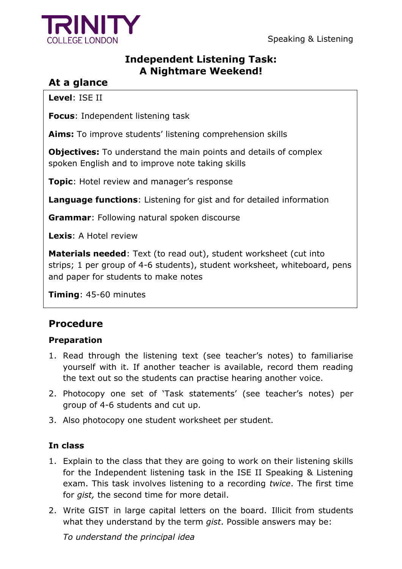

## **Independent Listening Task: A Nightmare Weekend!**

# **At a glance**

**Level**: ISE II

**Focus**: Independent listening task

Aims: To improve students' listening comprehension skills

**Objectives:** To understand the main points and details of complex spoken English and to improve note taking skills

**Topic**: Hotel review and manager's response

**Language functions**: Listening for gist and for detailed information

**Grammar**: Following natural spoken discourse

**Lexis**: A Hotel review

**Materials needed**: Text (to read out), student worksheet (cut into strips; 1 per group of 4-6 students), student worksheet, whiteboard, pens and paper for students to make notes

**Timing**: 45-60 minutes

# **Procedure**

### **Preparation**

- 1. Read through the listening text (see teacher"s notes) to familiarise yourself with it. If another teacher is available, record them reading the text out so the students can practise hearing another voice.
- 2. Photocopy one set of 'Task statements' (see teacher's notes) per group of 4-6 students and cut up.
- 3. Also photocopy one student worksheet per student.

### **In class**

- 1. Explain to the class that they are going to work on their listening skills for the Independent listening task in the ISE II Speaking & Listening exam. This task involves listening to a recording *twice*. The first time for *gist,* the second time for more detail.
- 2. Write GIST in large capital letters on the board. Illicit from students what they understand by the term *gist*. Possible answers may be:

*To understand the principal idea*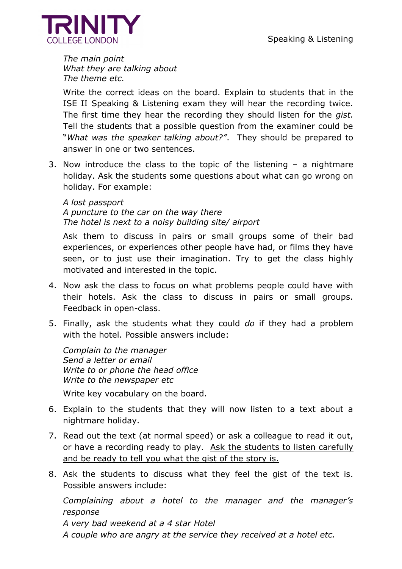

*The main point What they are talking about The theme etc.*

Write the correct ideas on the board. Explain to students that in the ISE II Speaking & Listening exam they will hear the recording twice. The first time they hear the recording they should listen for the *gist.*  Tell the students that a possible question from the examiner could be "*What was the speaker talking about?"*. They should be prepared to answer in one or two sentences.

3. Now introduce the class to the topic of the listening – a nightmare holiday. Ask the students some questions about what can go wrong on holiday. For example:

*A lost passport A puncture to the car on the way there The hotel is next to a noisy building site/ airport* 

Ask them to discuss in pairs or small groups some of their bad experiences, or experiences other people have had, or films they have seen, or to just use their imagination. Try to get the class highly motivated and interested in the topic.

- 4. Now ask the class to focus on what problems people could have with their hotels. Ask the class to discuss in pairs or small groups. Feedback in open-class.
- 5. Finally, ask the students what they could *do* if they had a problem with the hotel. Possible answers include:

*Complain to the manager Send a letter or email Write to or phone the head office Write to the newspaper etc*

Write key vocabulary on the board.

- 6. Explain to the students that they will now listen to a text about a nightmare holiday.
- 7. Read out the text (at normal speed) or ask a colleague to read it out, or have a recording ready to play. Ask the students to listen carefully and be ready to tell you what the gist of the story is.
- 8. Ask the students to discuss what they feel the gist of the text is. Possible answers include:

*Complaining about a hotel to the manager and the manager's response*

*A very bad weekend at a 4 star Hotel* 

*A couple who are angry at the service they received at a hotel etc.*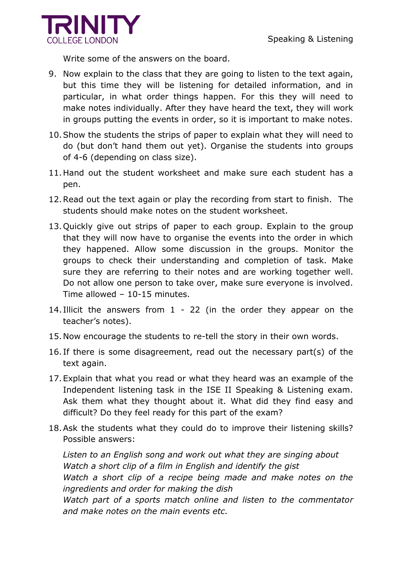

Write some of the answers on the board.

- 9. Now explain to the class that they are going to listen to the text again, but this time they will be listening for detailed information, and in particular, in what order things happen. For this they will need to make notes individually. After they have heard the text, they will work in groups putting the events in order, so it is important to make notes.
- 10.Show the students the strips of paper to explain what they will need to do (but don"t hand them out yet). Organise the students into groups of 4-6 (depending on class size).
- 11.Hand out the student worksheet and make sure each student has a pen.
- 12.Read out the text again or play the recording from start to finish. The students should make notes on the student worksheet.
- 13.Quickly give out strips of paper to each group. Explain to the group that they will now have to organise the events into the order in which they happened. Allow some discussion in the groups. Monitor the groups to check their understanding and completion of task. Make sure they are referring to their notes and are working together well. Do not allow one person to take over, make sure everyone is involved. Time allowed – 10-15 minutes.
- 14. Illicit the answers from 1 22 (in the order they appear on the teacher"s notes).
- 15.Now encourage the students to re-tell the story in their own words.
- 16. If there is some disagreement, read out the necessary part(s) of the text again.
- 17.Explain that what you read or what they heard was an example of the Independent listening task in the ISE II Speaking & Listening exam. Ask them what they thought about it. What did they find easy and difficult? Do they feel ready for this part of the exam?
- 18.Ask the students what they could do to improve their listening skills? Possible answers:

*Listen to an English song and work out what they are singing about Watch a short clip of a film in English and identify the gist Watch a short clip of a recipe being made and make notes on the ingredients and order for making the dish*

*Watch part of a sports match online and listen to the commentator and make notes on the main events etc.*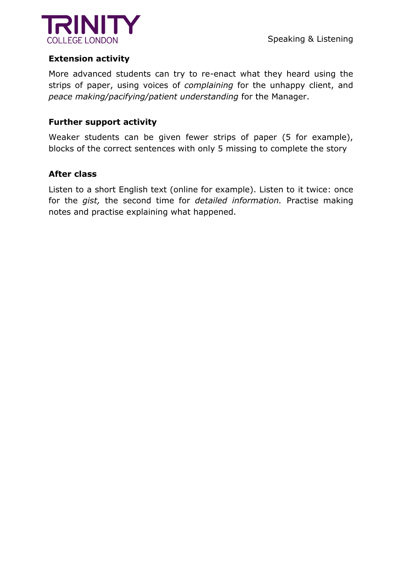

### **Extension activity**

More advanced students can try to re-enact what they heard using the strips of paper, using voices of *complaining* for the unhappy client, and *peace making/pacifying/patient understanding* for the Manager.

#### **Further support activity**

Weaker students can be given fewer strips of paper (5 for example), blocks of the correct sentences with only 5 missing to complete the story

#### **After class**

Listen to a short English text (online for example). Listen to it twice: once for the *gist,* the second time for *detailed information.* Practise making notes and practise explaining what happened.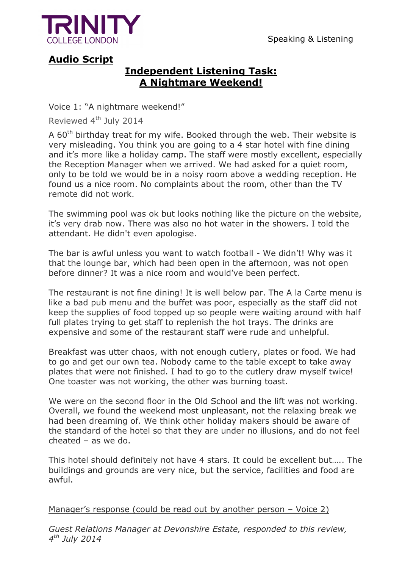

Speaking & Listening

# **Audio Script**

## **Independent Listening Task: A Nightmare Weekend!**

Voice 1: "A nightmare weekend!"

Reviewed 4<sup>th</sup> July 2014

A  $60<sup>th</sup>$  birthday treat for my wife. Booked through the web. Their website is very misleading. You think you are going to a 4 star hotel with fine dining and it's more like a holiday camp. The staff were mostly excellent, especially the Reception Manager when we arrived. We had asked for a quiet room, only to be told we would be in a noisy room above a wedding reception. He found us a nice room. No complaints about the room, other than the TV remote did not work.

The swimming pool was ok but looks nothing like the picture on the website, it"s very drab now. There was also no hot water in the showers. I told the attendant. He didn't even apologise.

The bar is awful unless you want to watch football - We didn"t! Why was it that the lounge bar, which had been open in the afternoon, was not open before dinner? It was a nice room and would've been perfect.

The restaurant is not fine dining! It is well below par. The A la Carte menu is like a bad pub menu and the buffet was poor, especially as the staff did not keep the supplies of food topped up so people were waiting around with half full plates trying to get staff to replenish the hot trays. The drinks are expensive and some of the restaurant staff were rude and unhelpful.

Breakfast was utter chaos, with not enough cutlery, plates or food. We had to go and get our own tea. Nobody came to the table except to take away plates that were not finished. I had to go to the cutlery draw myself twice! One toaster was not working, the other was burning toast.

We were on the second floor in the Old School and the lift was not working. Overall, we found the weekend most unpleasant, not the relaxing break we had been dreaming of. We think other holiday makers should be aware of the standard of the hotel so that they are under no illusions, and do not feel cheated – as we do.

This hotel should definitely not have 4 stars. It could be excellent but….. The buildings and grounds are very nice, but the service, facilities and food are awful.

Manager's response (could be read out by another person – Voice 2)

*Guest Relations Manager at Devonshire Estate, responded to this review, 4 th July 2014*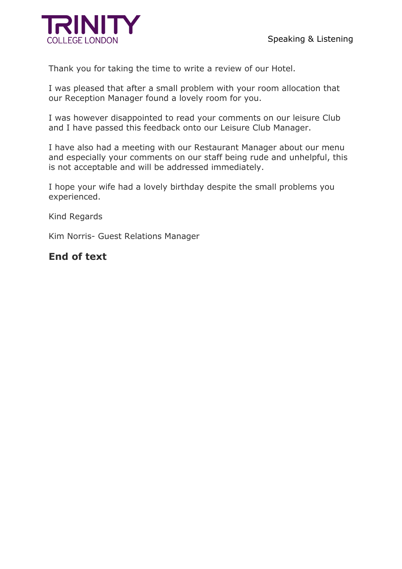

Thank you for taking the time to write a review of our Hotel.

I was pleased that after a small problem with your room allocation that our Reception Manager found a lovely room for you.

I was however disappointed to read your comments on our leisure Club and I have passed this feedback onto our Leisure Club Manager.

I have also had a meeting with our Restaurant Manager about our menu and especially your comments on our staff being rude and unhelpful, this is not acceptable and will be addressed immediately.

I hope your wife had a lovely birthday despite the small problems you experienced.

Kind Regards

Kim Norris- Guest Relations Manager

### **End of text**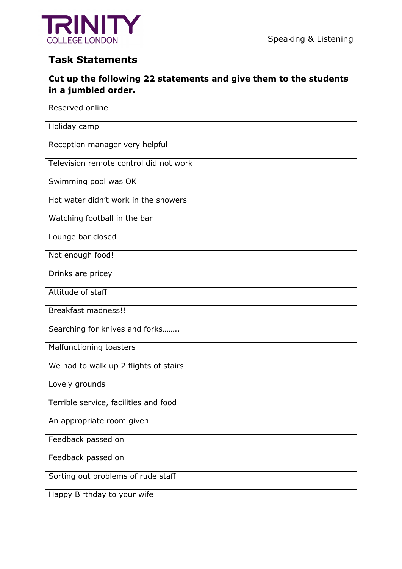

# **Task Statements**

### **Cut up the following 22 statements and give them to the students in a jumbled order.**

| Reserved online                        |  |  |  |  |  |
|----------------------------------------|--|--|--|--|--|
| Holiday camp                           |  |  |  |  |  |
| Reception manager very helpful         |  |  |  |  |  |
| Television remote control did not work |  |  |  |  |  |
| Swimming pool was OK                   |  |  |  |  |  |
| Hot water didn't work in the showers   |  |  |  |  |  |
| Watching football in the bar           |  |  |  |  |  |
| Lounge bar closed                      |  |  |  |  |  |
| Not enough food!                       |  |  |  |  |  |
| Drinks are pricey                      |  |  |  |  |  |
| Attitude of staff                      |  |  |  |  |  |
| <b>Breakfast madness!!</b>             |  |  |  |  |  |
| Searching for knives and forks         |  |  |  |  |  |
| Malfunctioning toasters                |  |  |  |  |  |
| We had to walk up 2 flights of stairs  |  |  |  |  |  |
| Lovely grounds                         |  |  |  |  |  |
| Terrible service, facilities and food  |  |  |  |  |  |
| An appropriate room given              |  |  |  |  |  |
| Feedback passed on                     |  |  |  |  |  |
| Feedback passed on                     |  |  |  |  |  |
| Sorting out problems of rude staff     |  |  |  |  |  |
| Happy Birthday to your wife            |  |  |  |  |  |